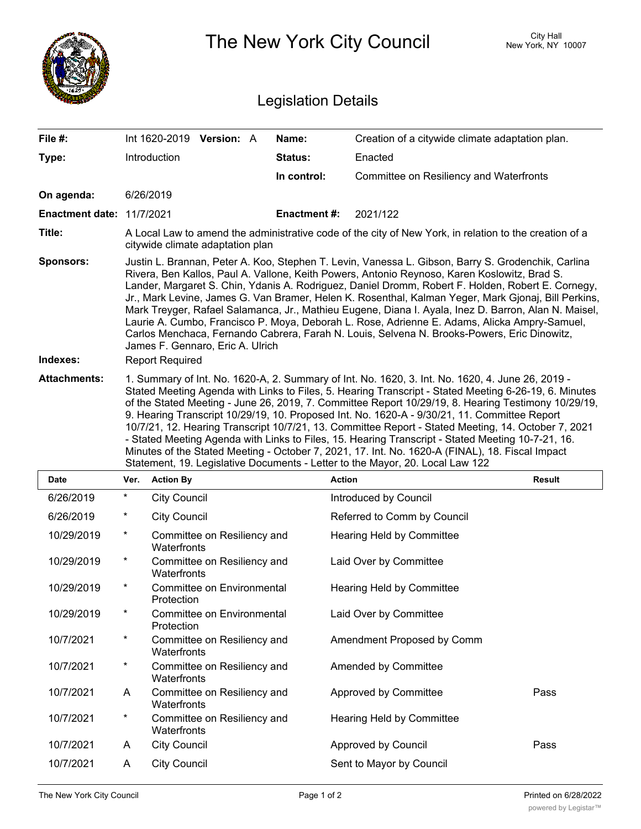|                                  |                                                                                                                                                                                                                                                                                                                                                                                                                                                                                                                                                                                                                                                                                                                                                                                                                  | The New York City Council                  | City Hall<br>New York, NY 10007 |                                                 |                      |  |
|----------------------------------|------------------------------------------------------------------------------------------------------------------------------------------------------------------------------------------------------------------------------------------------------------------------------------------------------------------------------------------------------------------------------------------------------------------------------------------------------------------------------------------------------------------------------------------------------------------------------------------------------------------------------------------------------------------------------------------------------------------------------------------------------------------------------------------------------------------|--------------------------------------------|---------------------------------|-------------------------------------------------|----------------------|--|
| <b>Legislation Details</b>       |                                                                                                                                                                                                                                                                                                                                                                                                                                                                                                                                                                                                                                                                                                                                                                                                                  |                                            |                                 |                                                 |                      |  |
| File #:                          |                                                                                                                                                                                                                                                                                                                                                                                                                                                                                                                                                                                                                                                                                                                                                                                                                  | Int 1620-2019 Version: A                   | Name:                           | Creation of a citywide climate adaptation plan. |                      |  |
| Type:                            |                                                                                                                                                                                                                                                                                                                                                                                                                                                                                                                                                                                                                                                                                                                                                                                                                  | Introduction                               | <b>Status:</b>                  | Enacted                                         |                      |  |
|                                  |                                                                                                                                                                                                                                                                                                                                                                                                                                                                                                                                                                                                                                                                                                                                                                                                                  |                                            | In control:                     | Committee on Resiliency and Waterfronts         |                      |  |
| On agenda:                       |                                                                                                                                                                                                                                                                                                                                                                                                                                                                                                                                                                                                                                                                                                                                                                                                                  | 6/26/2019                                  |                                 |                                                 |                      |  |
| <b>Enactment date: 11/7/2021</b> |                                                                                                                                                                                                                                                                                                                                                                                                                                                                                                                                                                                                                                                                                                                                                                                                                  |                                            | <b>Enactment#:</b>              | 2021/122                                        |                      |  |
| Title:                           | A Local Law to amend the administrative code of the city of New York, in relation to the creation of a<br>citywide climate adaptation plan                                                                                                                                                                                                                                                                                                                                                                                                                                                                                                                                                                                                                                                                       |                                            |                                 |                                                 |                      |  |
| <b>Sponsors:</b>                 | Justin L. Brannan, Peter A. Koo, Stephen T. Levin, Vanessa L. Gibson, Barry S. Grodenchik, Carlina<br>Rivera, Ben Kallos, Paul A. Vallone, Keith Powers, Antonio Reynoso, Karen Koslowitz, Brad S.<br>Lander, Margaret S. Chin, Ydanis A. Rodriguez, Daniel Dromm, Robert F. Holden, Robert E. Cornegy,<br>Jr., Mark Levine, James G. Van Bramer, Helen K. Rosenthal, Kalman Yeger, Mark Gjonaj, Bill Perkins,<br>Mark Treyger, Rafael Salamanca, Jr., Mathieu Eugene, Diana I. Ayala, Inez D. Barron, Alan N. Maisel,<br>Laurie A. Cumbo, Francisco P. Moya, Deborah L. Rose, Adrienne E. Adams, Alicka Ampry-Samuel,<br>Carlos Menchaca, Fernando Cabrera, Farah N. Louis, Selvena N. Brooks-Powers, Eric Dinowitz,<br>James F. Gennaro, Eric A. Ulrich                                                        |                                            |                                 |                                                 |                      |  |
| Indexes:                         | <b>Report Required</b>                                                                                                                                                                                                                                                                                                                                                                                                                                                                                                                                                                                                                                                                                                                                                                                           |                                            |                                 |                                                 |                      |  |
| <b>Attachments:</b>              | 1. Summary of Int. No. 1620-A, 2. Summary of Int. No. 1620, 3. Int. No. 1620, 4. June 26, 2019 -<br>Stated Meeting Agenda with Links to Files, 5. Hearing Transcript - Stated Meeting 6-26-19, 6. Minutes<br>of the Stated Meeting - June 26, 2019, 7. Committee Report 10/29/19, 8. Hearing Testimony 10/29/19,<br>9. Hearing Transcript 10/29/19, 10. Proposed Int. No. 1620-A - 9/30/21, 11. Committee Report<br>10/7/21, 12. Hearing Transcript 10/7/21, 13. Committee Report - Stated Meeting, 14. October 7, 2021<br>- Stated Meeting Agenda with Links to Files, 15. Hearing Transcript - Stated Meeting 10-7-21, 16.<br>Minutes of the Stated Meeting - October 7, 2021, 17. Int. No. 1620-A (FINAL), 18. Fiscal Impact<br>Statement, 19. Legislative Documents - Letter to the Mayor, 20. Local Law 122 |                                            |                                 |                                                 |                      |  |
| Date                             | Ver.                                                                                                                                                                                                                                                                                                                                                                                                                                                                                                                                                                                                                                                                                                                                                                                                             | <b>Action By</b>                           |                                 | <b>Action</b>                                   | <b>Result</b>        |  |
| 6/26/2019                        | $\ast$                                                                                                                                                                                                                                                                                                                                                                                                                                                                                                                                                                                                                                                                                                                                                                                                           | <b>City Council</b>                        |                                 | Introduced by Council                           |                      |  |
| 6/26/2019                        | $^\star$                                                                                                                                                                                                                                                                                                                                                                                                                                                                                                                                                                                                                                                                                                                                                                                                         | <b>City Council</b>                        |                                 | Referred to Comm by Council                     |                      |  |
| 10/29/2019                       | $^\star$                                                                                                                                                                                                                                                                                                                                                                                                                                                                                                                                                                                                                                                                                                                                                                                                         | Committee on Resiliency and<br>Waterfronts |                                 | Hearing Held by Committee                       |                      |  |
| 10/29/2019                       | $^\ast$                                                                                                                                                                                                                                                                                                                                                                                                                                                                                                                                                                                                                                                                                                                                                                                                          | Committee on Resiliency and<br>Waterfronts |                                 | Laid Over by Committee                          |                      |  |
| 10/29/2019                       | $^\ast$                                                                                                                                                                                                                                                                                                                                                                                                                                                                                                                                                                                                                                                                                                                                                                                                          | Committee on Environmental<br>Protection   |                                 | Hearing Held by Committee                       |                      |  |
| 10/29/2019                       | $^\ast$                                                                                                                                                                                                                                                                                                                                                                                                                                                                                                                                                                                                                                                                                                                                                                                                          | Committee on Environmental<br>Protection   |                                 | Laid Over by Committee                          |                      |  |
| 10/7/2021                        | $\ast$                                                                                                                                                                                                                                                                                                                                                                                                                                                                                                                                                                                                                                                                                                                                                                                                           | Committee on Resiliency and<br>Waterfronts |                                 | Amendment Proposed by Comm                      |                      |  |
| 10/7/2021                        | $\star$                                                                                                                                                                                                                                                                                                                                                                                                                                                                                                                                                                                                                                                                                                                                                                                                          | Committee on Resiliency and<br>Waterfronts |                                 | Amended by Committee                            |                      |  |
| 10/7/2021                        | A                                                                                                                                                                                                                                                                                                                                                                                                                                                                                                                                                                                                                                                                                                                                                                                                                | Committee on Resiliency and<br>Waterfronts |                                 | Approved by Committee                           | Pass                 |  |
| 10/7/2021                        | $^\ast$                                                                                                                                                                                                                                                                                                                                                                                                                                                                                                                                                                                                                                                                                                                                                                                                          | Committee on Resiliency and<br>Waterfronts |                                 | Hearing Held by Committee                       |                      |  |
| 10/7/2021                        | A                                                                                                                                                                                                                                                                                                                                                                                                                                                                                                                                                                                                                                                                                                                                                                                                                | <b>City Council</b>                        |                                 | Approved by Council                             | Pass                 |  |
| 10/7/2021                        | A                                                                                                                                                                                                                                                                                                                                                                                                                                                                                                                                                                                                                                                                                                                                                                                                                | <b>City Council</b>                        |                                 | Sent to Mayor by Council                        |                      |  |
| The New York City Council        |                                                                                                                                                                                                                                                                                                                                                                                                                                                                                                                                                                                                                                                                                                                                                                                                                  |                                            | Page 1 of 2                     |                                                 | Printed on 6/28/2022 |  |